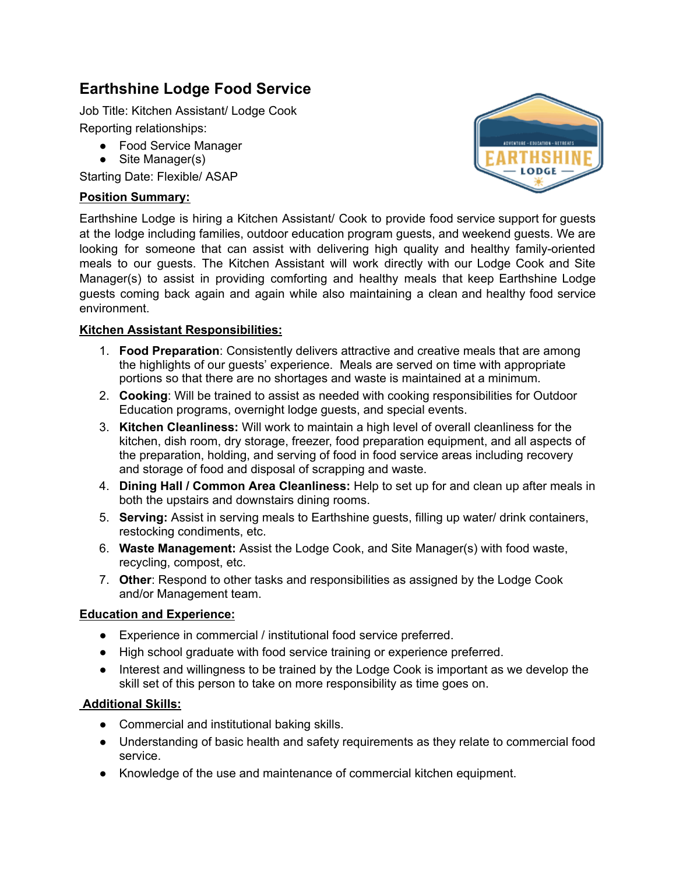# **Earthshine Lodge Food Service**

Job Title: Kitchen Assistant/ Lodge Cook Reporting relationships:

- Food Service Manager
- Site Manager(s)

Starting Date: Flexible/ ASAP

# **Position Summary:**



Earthshine Lodge is hiring a Kitchen Assistant/ Cook to provide food service support for guests at the lodge including families, outdoor education program guests, and weekend guests. We are looking for someone that can assist with delivering high quality and healthy family-oriented meals to our guests. The Kitchen Assistant will work directly with our Lodge Cook and Site Manager(s) to assist in providing comforting and healthy meals that keep Earthshine Lodge guests coming back again and again while also maintaining a clean and healthy food service environment.

## **Kitchen Assistant Responsibilities:**

- 1. **Food Preparation**: Consistently delivers attractive and creative meals that are among the highlights of our guests' experience. Meals are served on time with appropriate portions so that there are no shortages and waste is maintained at a minimum.
- 2. **Cooking**: Will be trained to assist as needed with cooking responsibilities for Outdoor Education programs, overnight lodge guests, and special events.
- 3. **Kitchen Cleanliness:** Will work to maintain a high level of overall cleanliness for the kitchen, dish room, dry storage, freezer, food preparation equipment, and all aspects of the preparation, holding, and serving of food in food service areas including recovery and storage of food and disposal of scrapping and waste.
- 4. **Dining Hall / Common Area Cleanliness:** Help to set up for and clean up after meals in both the upstairs and downstairs dining rooms.
- 5. **Serving:** Assist in serving meals to Earthshine guests, filling up water/ drink containers, restocking condiments, etc.
- 6. **Waste Management:** Assist the Lodge Cook, and Site Manager(s) with food waste, recycling, compost, etc.
- 7. **Other**: Respond to other tasks and responsibilities as assigned by the Lodge Cook and/or Management team.

#### **Education and Experience:**

- Experience in commercial / institutional food service preferred.
- High school graduate with food service training or experience preferred.
- Interest and willingness to be trained by the Lodge Cook is important as we develop the skill set of this person to take on more responsibility as time goes on.

# **Additional Skills:**

- Commercial and institutional baking skills.
- Understanding of basic health and safety requirements as they relate to commercial food service.
- Knowledge of the use and maintenance of commercial kitchen equipment.